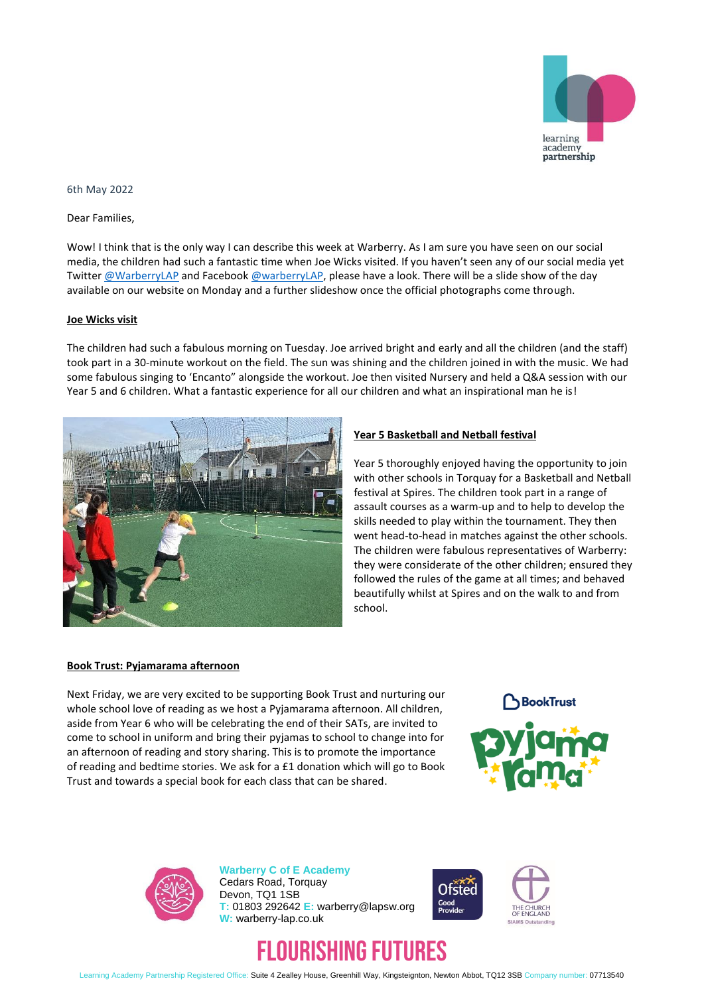

# 6th May 2022

Dear Families,

Wow! I think that is the only way I can describe this week at Warberry. As I am sure you have seen on our social media, the children had such a fantastic time when Joe Wicks visited. If you haven't seen any of our social media yet Twitter [@WarberryLAP](https://twitter.com/WarberryLAP) and Facebook [@warberryLAP,](https://www.facebook.com/warberryLAP/?scrlybrkr=89ac7f6f) please have a look. There will be a slide show of the day available on our website on Monday and a further slideshow once the official photographs come through.

## **Joe Wicks visit**

The children had such a fabulous morning on Tuesday. Joe arrived bright and early and all the children (and the staff) took part in a 30-minute workout on the field. The sun was shining and the children joined in with the music. We had some fabulous singing to 'Encanto" alongside the workout. Joe then visited Nursery and held a Q&A session with our Year 5 and 6 children. What a fantastic experience for all our children and what an inspirational man he is!



## **Year 5 Basketball and Netball festival**

Year 5 thoroughly enjoyed having the opportunity to join with other schools in Torquay for a Basketball and Netball festival at Spires. The children took part in a range of assault courses as a warm-up and to help to develop the skills needed to play within the tournament. They then went head-to-head in matches against the other schools. The children were fabulous representatives of Warberry: they were considerate of the other children; ensured they followed the rules of the game at all times; and behaved beautifully whilst at Spires and on the walk to and from school.

#### **Book Trust: Pyjamarama afternoon**

Next Friday, we are very excited to be supporting Book Trust and nurturing our whole school love of reading as we host a Pyjamarama afternoon. All children, aside from Year 6 who will be celebrating the end of their SATs, are invited to come to school in uniform and bring their pyjamas to school to change into for an afternoon of reading and story sharing. This is to promote the importance of reading and bedtime stories. We ask for a £1 donation which will go to Book Trust and towards a special book for each class that can be shared.





**Warberry C of E Academy** Cedars Road, Torquay Devon, TQ1 1SB **T:** 01803 292642 **E:** warberry@lapsw.org **W:** warberry-lap.co.uk





# FLOURISHING FUTURES

Learning Academy Partnership Registered Office: Suite 4 Zealley House, Greenhill Way, Kingsteignton, Newton Abbot, TQ12 3SB Company number: 07713540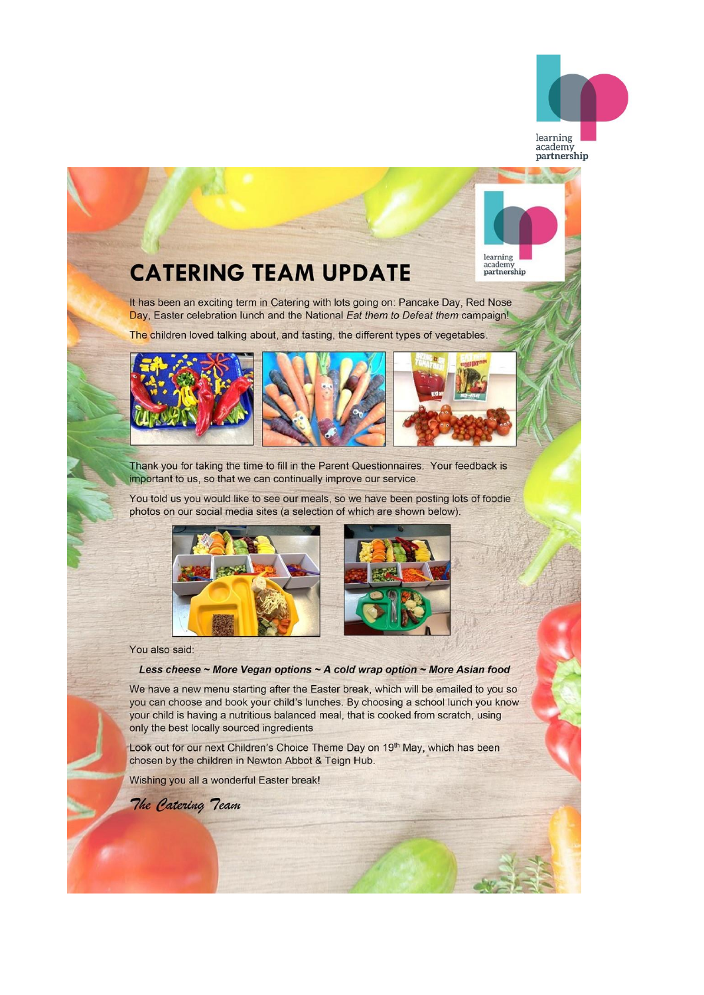

learning

academy<br>partnership

# **CATERING TEAM UPDATE**

It has been an exciting term in Catering with lots going on: Pancake Day, Red Nose Day, Easter celebration lunch and the National Eat them to Defeat them campaign!

The children loved talking about, and tasting, the different types of vegetables.



Thank you for taking the time to fill in the Parent Questionnaires. Your feedback is important to us, so that we can continually improve our service.

You told us you would like to see our meals, so we have been posting lots of foodie photos on our social media sites (a selection of which are shown below).





You also said

Less cheese ~ More Vegan options ~ A cold wrap option ~ More Asian food

We have a new menu starting after the Easter break, which will be emailed to you so you can choose and book your child's lunches. By choosing a school lunch you know your child is having a nutritious balanced meal, that is cooked from scratch, using only the best locally sourced ingredients

Look out for our next Children's Choice Theme Day on 19th May, which has been chosen by the children in Newton Abbot & Teign Hub.

Wishing you all a wonderful Easter break!

The Catering Team